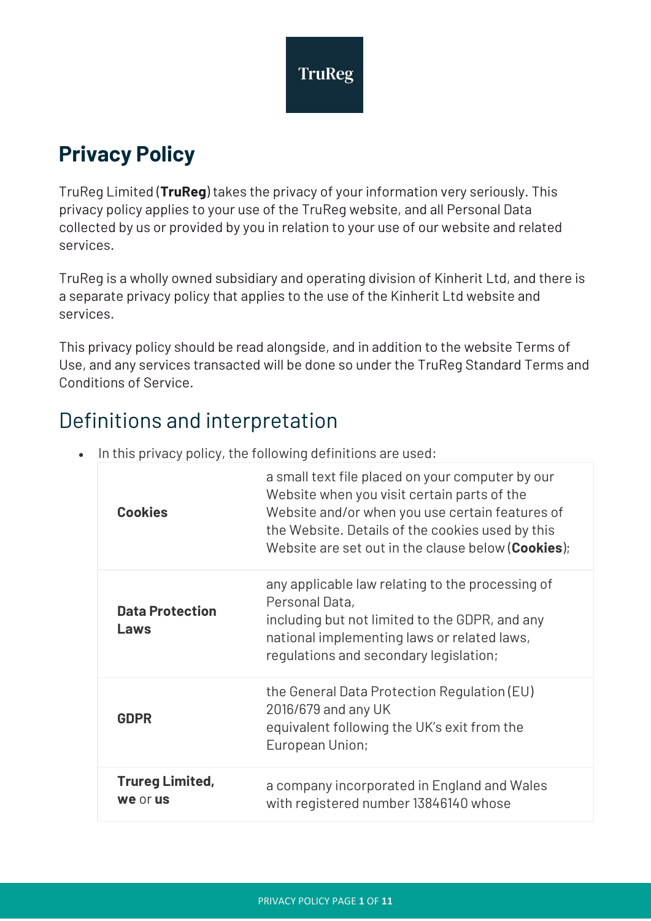## **Privacy Policy**

TruReg Limited (**TruReg**) takes the privacy of your information very seriously. This privacy policy applies to your use of the TruReg website, and all Personal Data collected by us or provided by you in relation to your use of our website and related services.

TruReg is a wholly owned subsidiary and operating division of Kinherit Ltd, and there is a separate privacy policy that applies to the use of the Kinherit Ltd website and services.

This privacy policy should be read alongside, and in addition to the website Terms of Use, and any services transacted will be done so under the TruReg Standard Terms and Conditions of Service.

#### Definitions and interpretation

| <b>Cookies</b>                     | a small text file placed on your computer by our<br>Website when you visit certain parts of the<br>Website and/or when you use certain features of<br>the Website. Details of the cookies used by this<br>Website are set out in the clause below (Cookies); |
|------------------------------------|--------------------------------------------------------------------------------------------------------------------------------------------------------------------------------------------------------------------------------------------------------------|
| <b>Data Protection</b><br>Laws     | any applicable law relating to the processing of<br>Personal Data,<br>including but not limited to the GDPR, and any<br>national implementing laws or related laws,<br>regulations and secondary legislation;                                                |
| <b>GDPR</b>                        | the General Data Protection Regulation (EU)<br>2016/679 and any UK<br>equivalent following the UK's exit from the<br>European Union;                                                                                                                         |
| <b>Trureg Limited,</b><br>we or us | a company incorporated in England and Wales<br>with registered number 13846140 whose                                                                                                                                                                         |

• In this privacy policy, the following definitions are used: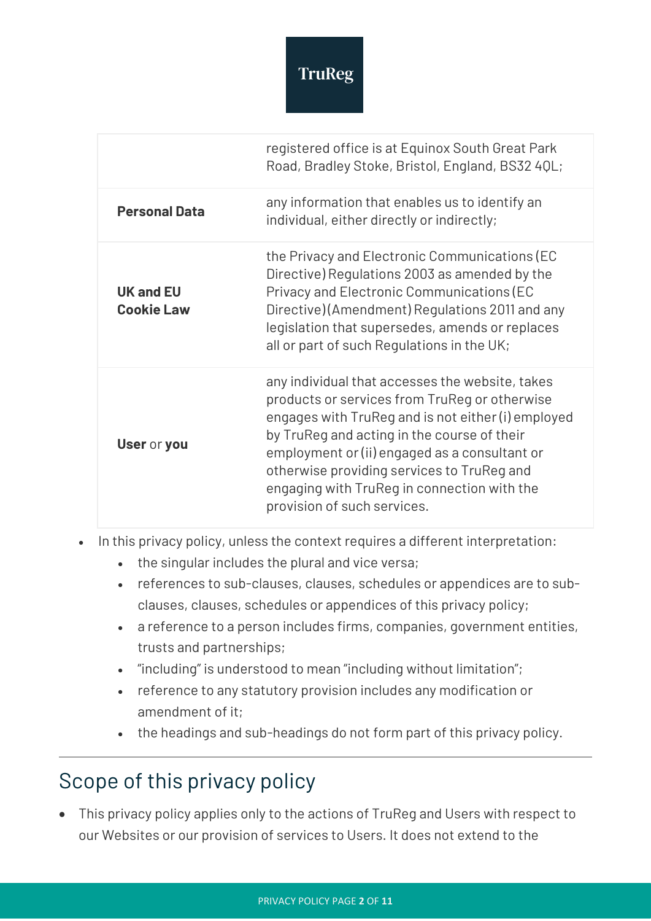|                                       | registered office is at Equinox South Great Park<br>Road, Bradley Stoke, Bristol, England, BS32 4QL;                                                                                                                                                                                                                                                                               |
|---------------------------------------|------------------------------------------------------------------------------------------------------------------------------------------------------------------------------------------------------------------------------------------------------------------------------------------------------------------------------------------------------------------------------------|
| <b>Personal Data</b>                  | any information that enables us to identify an<br>individual, either directly or indirectly;                                                                                                                                                                                                                                                                                       |
| <b>UK and EU</b><br><b>Cookie Law</b> | the Privacy and Electronic Communications (EC<br>Directive) Regulations 2003 as amended by the<br>Privacy and Electronic Communications (EC<br>Directive) (Amendment) Regulations 2011 and any<br>legislation that supersedes, amends or replaces<br>all or part of such Regulations in the UK;                                                                                    |
| <b>User or you</b>                    | any individual that accesses the website, takes<br>products or services from TruReg or otherwise<br>engages with TruReg and is not either (i) employed<br>by TruReg and acting in the course of their<br>employment or (ii) engaged as a consultant or<br>otherwise providing services to TruReg and<br>engaging with TruReg in connection with the<br>provision of such services. |

- In this privacy policy, unless the context requires a different interpretation:
	- the singular includes the plural and vice versa;
	- references to sub-clauses, clauses, schedules or appendices are to subclauses, clauses, schedules or appendices of this privacy policy;
	- a reference to a person includes firms, companies, government entities, trusts and partnerships;
	- "including" is understood to mean "including without limitation";
	- reference to any statutory provision includes any modification or amendment of it;
	- the headings and sub-headings do not form part of this privacy policy.

## Scope of this privacy policy

• This privacy policy applies only to the actions of TruReg and Users with respect to our Websites or our provision of services to Users. It does not extend to the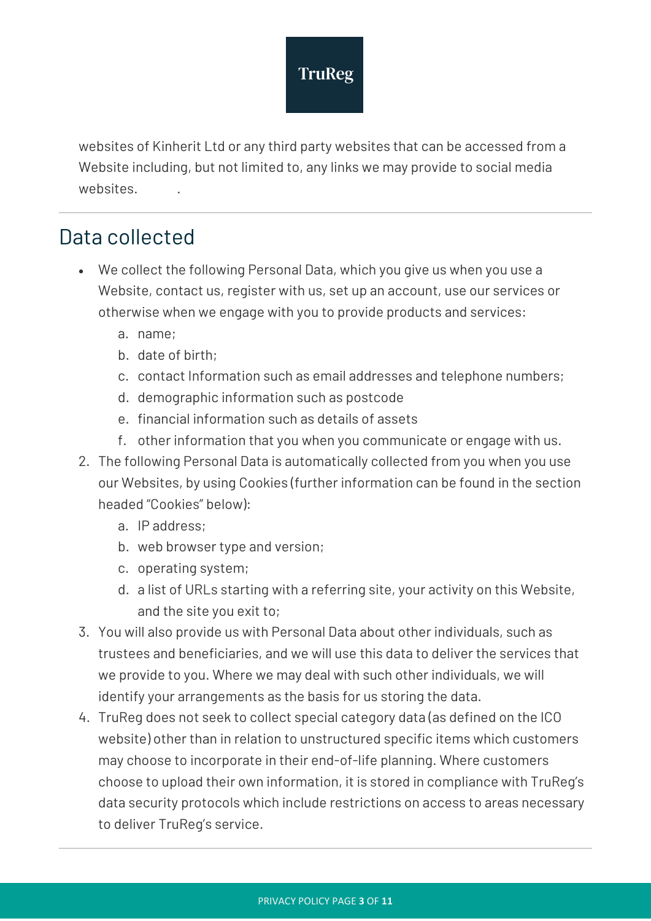websites of Kinherit Ltd or any third party websites that can be accessed from a Website including, but not limited to, any links we may provide to social media websites.

## Data collected

- We collect the following Personal Data, which you give us when you use a Website, contact us, register with us, set up an account, use our services or otherwise when we engage with you to provide products and services:
	- a. name;
	- b. date of birth;
	- c. contact Information such as email addresses and telephone numbers;
	- d. demographic information such as postcode
	- e. financial information such as details of assets
	- f. other information that you when you communicate or engage with us.
- 2. The following Personal Data is automatically collected from you when you use our Websites, by using Cookies (further information can be found in the section headed "Cookies" below):
	- a. IP address;
	- b. web browser type and version;
	- c. operating system;
	- d. a list of URLs starting with a referring site, your activity on this Website, and the site you exit to;
- 3. You will also provide us with Personal Data about other individuals, such as trustees and beneficiaries, and we will use this data to deliver the services that we provide to you. Where we may deal with such other individuals, we will identify your arrangements as the basis for us storing the data.
- 4. TruReg does not seek to collect special category data (as defined on the ICO website) other than in relation to unstructured specific items which customers may choose to incorporate in their end-of-life planning. Where customers choose to upload their own information, it is stored in compliance with TruReg's data security protocols which include restrictions on access to areas necessary to deliver TruReg's service.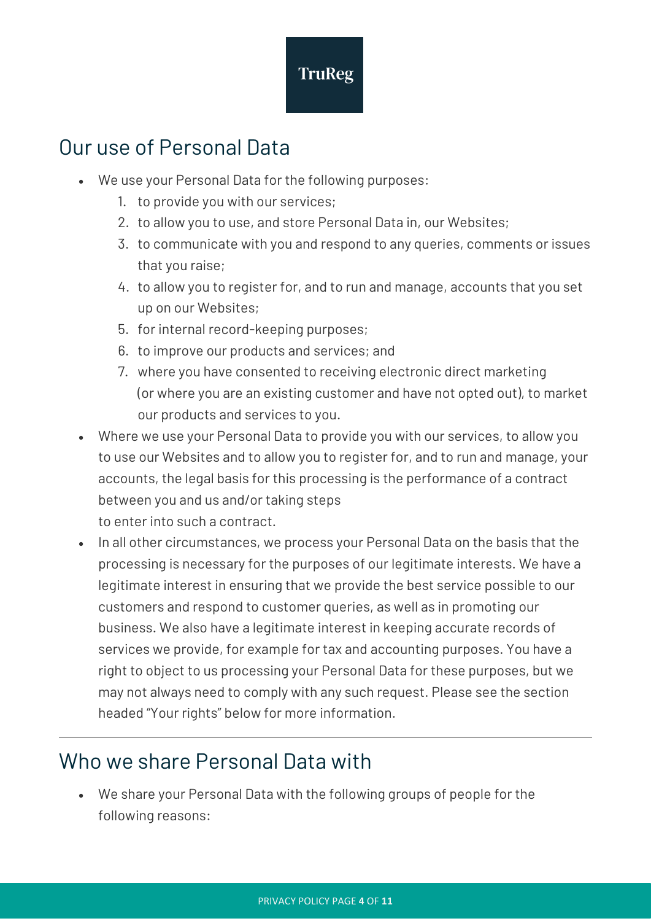### Our use of Personal Data

- We use your Personal Data for the following purposes:
	- 1. to provide you with our services;
	- 2. to allow you to use, and store Personal Data in, our Websites;
	- 3. to communicate with you and respond to any queries, comments or issues that you raise;
	- 4. to allow you to register for, and to run and manage, accounts that you set up on our Websites;
	- 5. for internal record-keeping purposes;
	- 6. to improve our products and services; and
	- 7. where you have consented to receiving electronic direct marketing (or where you are an existing customer and have not opted out), to market our products and services to you.
- Where we use your Personal Data to provide you with our services, to allow you to use our Websites and to allow you to register for, and to run and manage, your accounts, the legal basis for this processing is the performance of a contract between you and us and/or taking steps to enter into such a contract.
- In all other circumstances, we process your Personal Data on the basis that the processing is necessary for the purposes of our legitimate interests. We have a legitimate interest in ensuring that we provide the best service possible to our customers and respond to customer queries, as well as in promoting our business. We also have a legitimate interest in keeping accurate records of services we provide, for example for tax and accounting purposes. You have a right to object to us processing your Personal Data for these purposes, but we may not always need to comply with any such request. Please see the section headed "Your rights" below for more information.

#### Who we share Personal Data with

• We share your Personal Data with the following groups of people for the following reasons: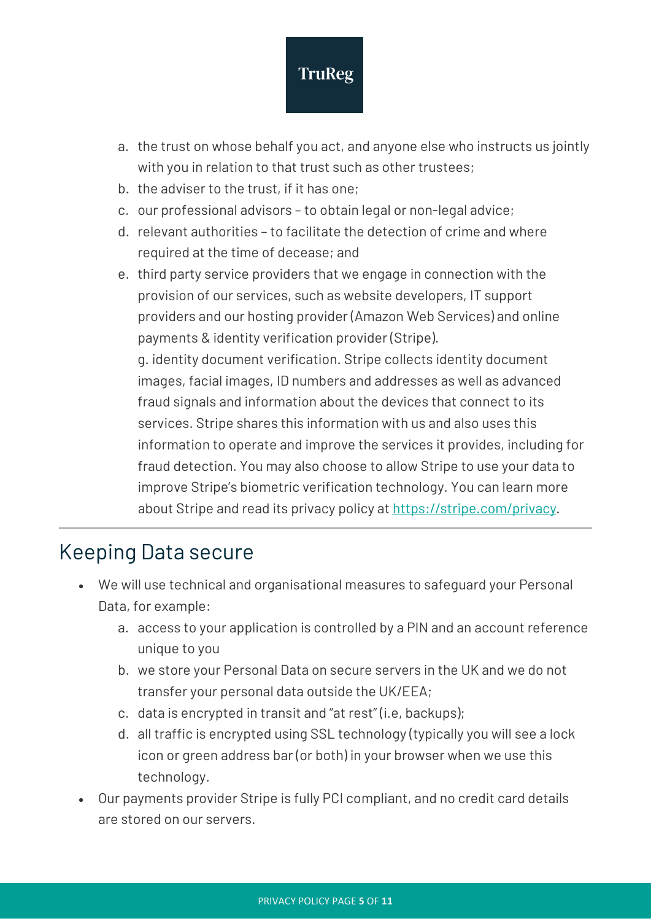- a. the trust on whose behalf you act, and anyone else who instructs us jointly with you in relation to that trust such as other trustees;
- b. the adviser to the trust, if it has one;
- c. our professional advisors to obtain legal or non-legal advice;
- d. relevant authorities to facilitate the detection of crime and where required at the time of decease; and
- e. third party service providers that we engage in connection with the provision of our services, such as website developers, IT support providers and our hosting provider (Amazon Web Services) and online payments & identity verification provider (Stripe). g. identity document verification. Stripe collects identity document images, facial images, ID numbers and addresses as well as advanced fraud signals and information about the devices that connect to its services. Stripe shares this information with us and also uses this information to operate and improve the services it provides, including for fraud detection. You may also choose to allow Stripe to use your data to improve Stripe's biometric verification technology. You can learn more about Stripe and read its privacy policy at [https://stripe.com/privacy.](https://stripe.com/privacy)

#### Keeping Data secure

- We will use technical and organisational measures to safeguard your Personal Data, for example:
	- a. access to your application is controlled by a PIN and an account reference unique to you
	- b. we store your Personal Data on secure servers in the UK and we do not transfer your personal data outside the UK/EEA;
	- c. data is encrypted in transit and "at rest" (i.e, backups);
	- d. all traffic is encrypted using SSL technology (typically you will see a lock icon or green address bar (or both) in your browser when we use this technology.
- Our payments provider Stripe is fully PCI compliant, and no credit card details are stored on our servers.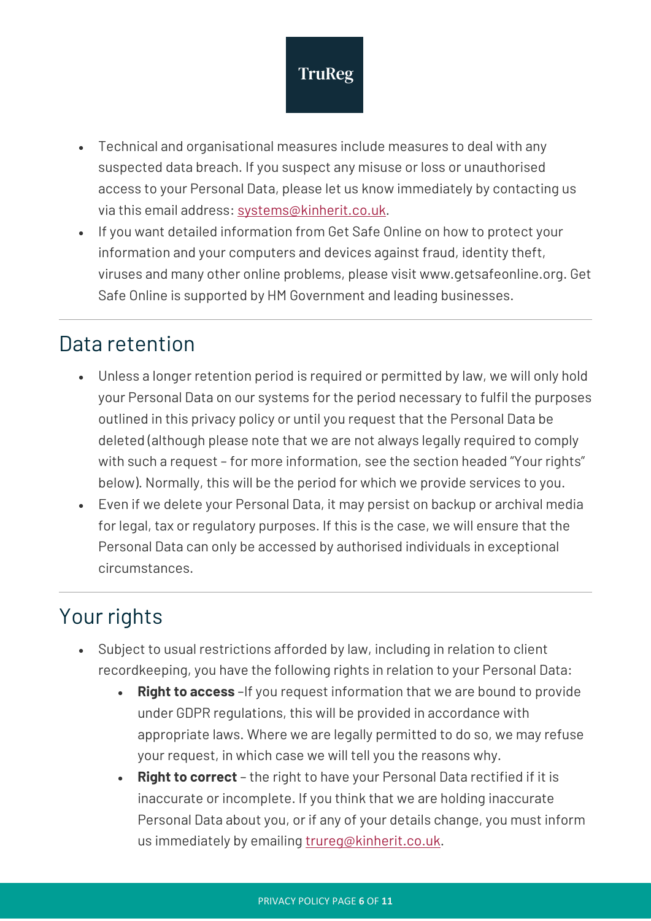- Technical and organisational measures include measures to deal with any suspected data breach. If you suspect any misuse or loss or unauthorised access to your Personal Data, please let us know immediately by contacting us via this email address: [systems@kinherit.co.uk.](mailto:systems@kinherit.co.uk)
- If you want detailed information from Get Safe Online on how to protect your information and your computers and devices against fraud, identity theft, viruses and many other online problems, please visit www.getsafeonline.org. Get Safe Online is supported by HM Government and leading businesses.

## Data retention

- Unless a longer retention period is required or permitted by law, we will only hold your Personal Data on our systems for the period necessary to fulfil the purposes outlined in this privacy policy or until you request that the Personal Data be deleted (although please note that we are not always legally required to comply with such a request – for more information, see the section headed "Your rights" below). Normally, this will be the period for which we provide services to you.
- Even if we delete your Personal Data, it may persist on backup or archival media for legal, tax or regulatory purposes. If this is the case, we will ensure that the Personal Data can only be accessed by authorised individuals in exceptional circumstances.

## Your rights

- Subject to usual restrictions afforded by law, including in relation to client recordkeeping, you have the following rights in relation to your Personal Data:
	- **Right to access** –If you request information that we are bound to provide under GDPR regulations, this will be provided in accordance with appropriate laws. Where we are legally permitted to do so, we may refuse your request, in which case we will tell you the reasons why.
	- **Right to correct** the right to have your Personal Data rectified if it is inaccurate or incomplete. If you think that we are holding inaccurate Personal Data about you, or if any of your details change, you must inform us immediately by emailing [trureg@kinherit.co.uk.](mailto:trureg@kinherit.co.uk)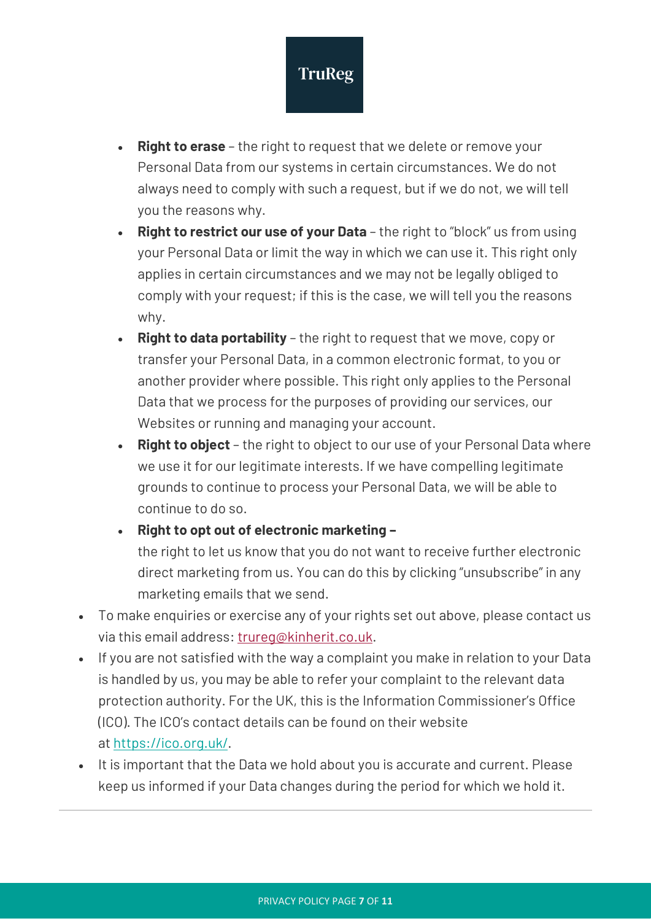- **Right to erase** the right to request that we delete or remove your Personal Data from our systems in certain circumstances. We do not always need to comply with such a request, but if we do not, we will tell you the reasons why.
- **Right to restrict our use of your Data** the right to "block" us from using your Personal Data or limit the way in which we can use it. This right only applies in certain circumstances and we may not be legally obliged to comply with your request; if this is the case, we will tell you the reasons why.
- **Right to data portability** the right to request that we move, copy or transfer your Personal Data, in a common electronic format, to you or another provider where possible. This right only applies to the Personal Data that we process for the purposes of providing our services, our Websites or running and managing your account.
- **Right to object** the right to object to our use of your Personal Data where we use it for our legitimate interests. If we have compelling legitimate grounds to continue to process your Personal Data, we will be able to continue to do so.
- **Right to opt out of electronic marketing –**

the right to let us know that you do not want to receive further electronic direct marketing from us. You can do this by clicking "unsubscribe" in any marketing emails that we send.

- To make enquiries or exercise any of your rights set out above, please contact us via this email address: [trureg@kinherit.co.uk.](mailto:trureg@kinherit.co.uk)
- If you are not satisfied with the way a complaint you make in relation to your Data is handled by us, you may be able to refer your complaint to the relevant data protection authority. For the UK, this is the Information Commissioner's Office (ICO). The ICO's contact details can be found on their website at [https://ico.org.uk/.](https://ico.org.uk/)
- It is important that the Data we hold about you is accurate and current. Please keep us informed if your Data changes during the period for which we hold it.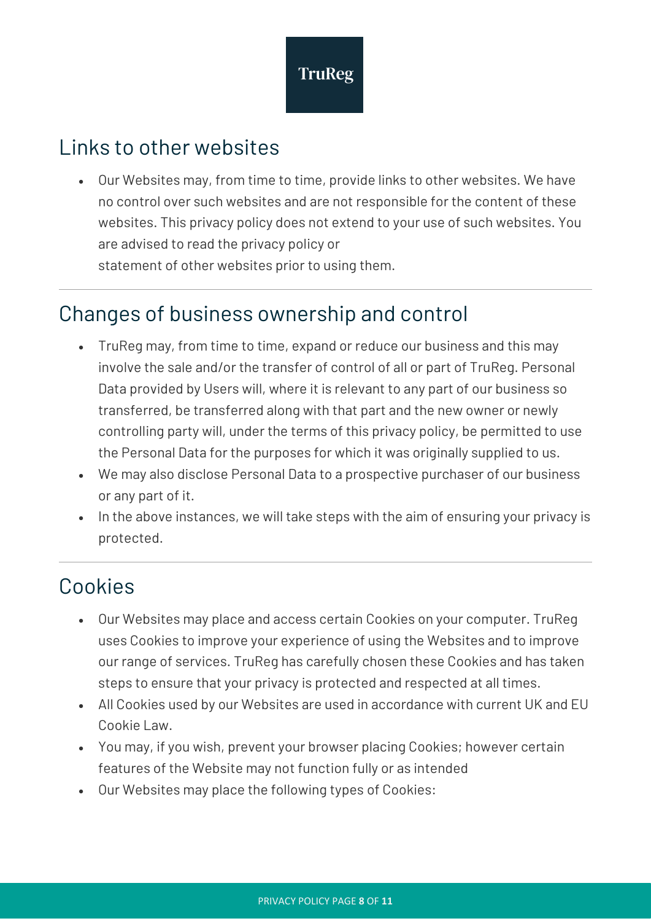### Links to other websites

• Our Websites may, from time to time, provide links to other websites. We have no control over such websites and are not responsible for the content of these websites. This privacy policy does not extend to your use of such websites. You are advised to read the privacy policy or statement of other websites prior to using them.

#### Changes of business ownership and control

- TruReg may, from time to time, expand or reduce our business and this may involve the sale and/or the transfer of control of all or part of TruReg. Personal Data provided by Users will, where it is relevant to any part of our business so transferred, be transferred along with that part and the new owner or newly controlling party will, under the terms of this privacy policy, be permitted to use the Personal Data for the purposes for which it was originally supplied to us.
- We may also disclose Personal Data to a prospective purchaser of our business or any part of it.
- In the above instances, we will take steps with the aim of ensuring your privacy is protected.

#### Cookies

- Our Websites may place and access certain Cookies on your computer. TruReg uses Cookies to improve your experience of using the Websites and to improve our range of services. TruReg has carefully chosen these Cookies and has taken steps to ensure that your privacy is protected and respected at all times.
- All Cookies used by our Websites are used in accordance with current UK and EU Cookie Law.
- You may, if you wish, prevent your browser placing Cookies; however certain features of the Website may not function fully or as intended
- Our Websites may place the following types of Cookies: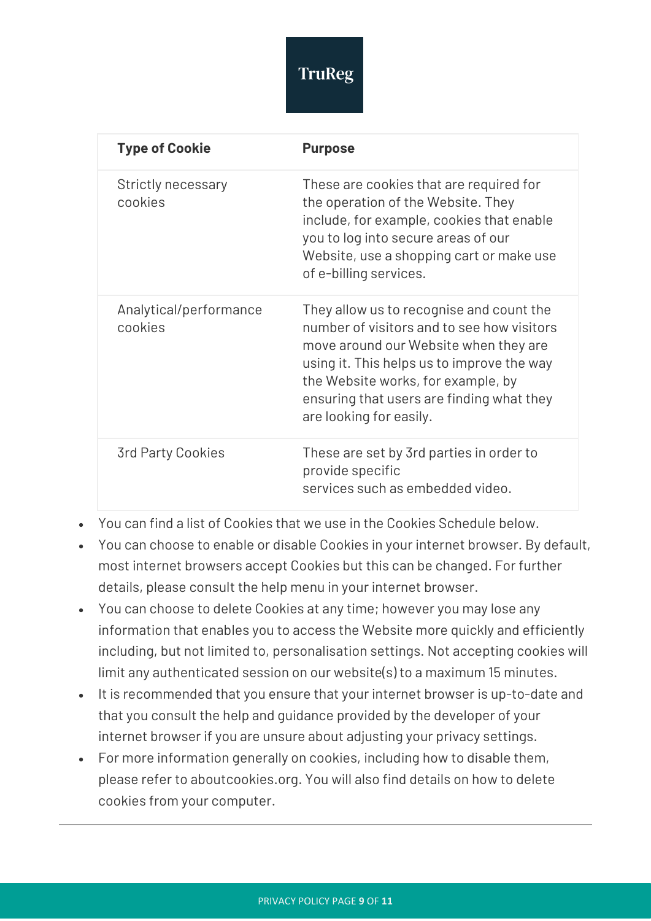| <b>TruReg</b> |  |
|---------------|--|
|               |  |

| <b>Type of Cookie</b>             | <b>Purpose</b>                                                                                                                                                                                                                                                                              |
|-----------------------------------|---------------------------------------------------------------------------------------------------------------------------------------------------------------------------------------------------------------------------------------------------------------------------------------------|
| Strictly necessary<br>cookies     | These are cookies that are required for<br>the operation of the Website. They<br>include, for example, cookies that enable<br>you to log into secure areas of our<br>Website, use a shopping cart or make use<br>of e-billing services.                                                     |
| Analytical/performance<br>cookies | They allow us to recognise and count the<br>number of visitors and to see how visitors<br>move around our Website when they are<br>using it. This helps us to improve the way<br>the Website works, for example, by<br>ensuring that users are finding what they<br>are looking for easily. |
| <b>3rd Party Cookies</b>          | These are set by 3rd parties in order to<br>provide specific<br>services such as embedded video.                                                                                                                                                                                            |

- You can find a list of Cookies that we use in the Cookies Schedule below.
- You can choose to enable or disable Cookies in your internet browser. By default, most internet browsers accept Cookies but this can be changed. For further details, please consult the help menu in your internet browser.
- You can choose to delete Cookies at any time; however you may lose any information that enables you to access the Website more quickly and efficiently including, but not limited to, personalisation settings. Not accepting cookies will limit any authenticated session on our website(s) to a maximum 15 minutes.
- It is recommended that you ensure that your internet browser is up-to-date and that you consult the help and guidance provided by the developer of your internet browser if you are unsure about adjusting your privacy settings.
- For more information generally on cookies, including how to disable them, please refer to aboutcookies.org. You will also find details on how to delete cookies from your computer.